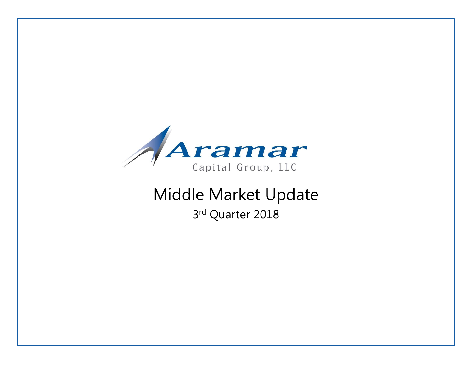

# Middle Market Update 3rd Quarter 2018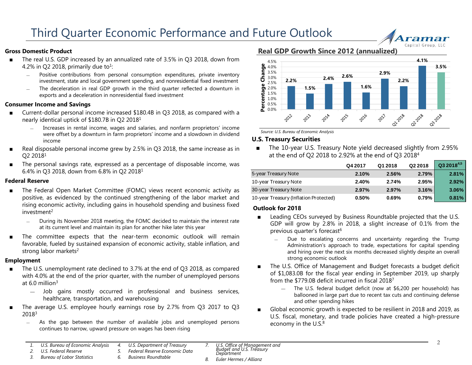#### **Gross Domestic Product**

- The real U.S. GDP increased by an annualized rate of 3.5% in Q3 2018, down from 4.2% in Q2 2018, primarily due to<sup>1</sup>:
	- ― Positive contributions from personal consumption expenditures, private inventory investment, state and local government spending, and nonresidential fixed investment
	- ― The deceleration in real GDP growth in the third quarter reflected a downturn in exports and a deceleration in nonresidential fixed investment

#### **Consumer Income and Savings**

- Current-dollar personal income increased \$180.4B in Q3 2018, as compared with a nearly identical uptick of \$180.7B in Q2 2018<sup>1</sup>
	- ― Increases in rental income, wages and salaries, and nonfarm proprietors' income were offset by a downturn in farm proprietors' income and a slowdown in dividend income
- Real disposable personal income grew by 2.5% in Q3 2018, the same increase as in Q2 2018<sup>1</sup>
- The personal savings rate, expressed as a percentage of disposable income, was 6.4% in Q3 2018, down from 6.8% in Q2 2018<sup>1</sup>

#### **Federal Reserve**

- The Federal Open Market Committee (FOMC) views recent economic activity as positive, as evidenced by the continued strengthening of the labor market and rising economic activity, including gains in household spending and business fixed investment<sup>2</sup>
	- ― During its November 2018 meeting, the FOMC decided to maintain the interest rate at its current level and maintain its plan for another hike later this year
- The committee expects that the near-term economic outlook will remain favorable, fueled by sustained expansion of economic activity, stable inflation, and strong labor markets<sup>2</sup>

#### **Employment**

- The U.S. unemployment rate declined to 3.7% at the end of Q3 2018, as compared with 4.0% at the end of the prior quarter, with the number of unemployed persons at  $6.0$  million<sup>3</sup>
	- ― Job gains mostly occurred in professional and business services, healthcare, transportation, and warehousing
- The average U.S. employee hourly earnings rose by 2.7% from Q3 2017 to Q3 2018<sup>3</sup>
	- ― As the gap between the number of available jobs and unemployed persons continues to narrow, upward pressure on wages has been rising

**Real GDP Growth Since 2012 (annualized)**



*Source: U.S. Bureau of Economic Analysis* 

#### **U.S. Treasury Securities**

The 10-year U.S. Treasury Note yield decreased slightly from 2.95% at the end of Q2 2018 to 2.92% at the end of Q3 2018<sup>4</sup>

|                                        | Q4 2017 | Q1 2018 | Q2 2018  | $Q32018^{4,5}$ |
|----------------------------------------|---------|---------|----------|----------------|
| 5-year Treasury Note                   | 2.10%   | 2.56%   | 2.79%    | 2.81%          |
| 10-year Treasury Note                  | 2.40%   | 2.74%   | 2.95%    | 2.92%          |
| 30-year Treasury Note                  | 2.97%   | 2.97%   | 3.16%    | 3.06%          |
| 10-year Treasury (Inflation Protected) | 0.50%   | 0.69%   | $0.79\%$ | 0.81%          |

#### **Outlook for 2018**

- Leading CEOs surveyed by Business Roundtable projected that the U.S. GDP will grow by 2.8% in 2018, a slight increase of 0.1% from the previous quarter's forecast<sup>6</sup>
	- Due to escalating concerns and uncertainty regarding the Trump Administration's approach to trade, expectations for capital spending and hiring over the next six months decreased slightly despite an overall strong economic outlook
- The U.S. Office of Management and Budget forecasts a budget deficit of \$1,083.0B for the fiscal year ending in September 2019, up sharply from the \$779.0B deficit incurred in fiscal 2018<sup>7</sup>
	- The U.S. federal budget deficit (now at \$6,200 per household) has ballooned in large part due to recent tax cuts and continuing defense and other spending hikes
- Global economic growth is expected to be resilient in 2018 and 2019, as U.S. fiscal, monetary, and trade policies have created a high-pressure economy in the U.S.<sup>8</sup>

rama Capital Group, LL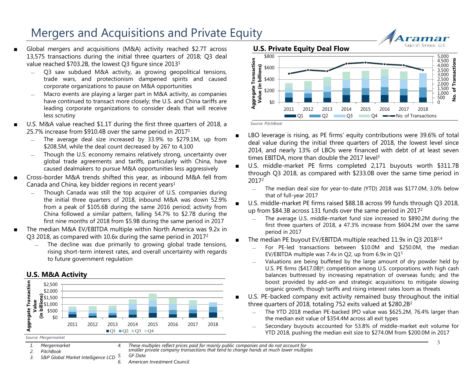### Mergers and Acquisitions and Private Equity

- Global mergers and acquisitions (M&A) activity reached \$2.7T across 13,575 transactions during the initial three quarters of 2018; Q3 deal value reached \$703.2B, the lowest Q3 figure since 2013<sup>1</sup>
	- Q3 saw subdued M&A activity, as growing geopolitical tensions, trade wars, and protectionism dampened spirits and caused corporate organizations to pause on M&A opportunities
	- Macro events are playing a larger part in M&A activity, as companies have continued to transact more closely; the U.S. and China tariffs are leading corporate organizations to consider deals that will receive less scrutiny
- U.S. M&A value reached \$1.1T during the first three quarters of 2018, a 25.7% increase from \$910.4B over the same period in 2017<sup>1</sup>
	- The average deal size increased by 33.9% to \$279.1M, up from \$208.5M, while the deal count decreased by 267 to 4,100
	- Though the U.S. economy remains relatively strong, uncertainty over global trade agreements and tariffs, particularly with China, have caused dealmakers to pursue M&A opportunities less aggressively
- Cross-border M&A trends shifted this year, as inbound M&A fell from Canada and China, key bidder regions in recent years $1$ 
	- Though Canada was still the top acquirer of U.S. companies during the initial three quarters of 2018, inbound M&A was down 52.9% from a peak of \$105.6B during the same 2016 period; activity from China followed a similar pattern, falling 54.7% to \$2.7B during the first nine months of 2018 from \$5.9B during the same period in 2017
- The median M&A EV/EBITDA multiple within North America was 9.2x in Q3 2018, as compared with 10.6x during the same period in 2017<sup>2</sup>
	- ― The decline was due primarily to growing global trade tensions, rising short-term interest rates, and overall uncertainty with regards to future government regulation

#### **U.S. M&A Activity**



*6. American Investment Council*



- *1. Mergermarket*
- *2. PitchBook*
- *3. S&P Global Market Intelligence LCD*

*4. These multiples reflect prices paid for mainly public companies and do not account for smaller private company transactions that tend to change hands at much lower multiples 5. GF Data*



■ LBO leverage is rising, as PE firms' equity contributions were 39.6% of total deal value during the initial three quarters of 2018, the lowest level since 2014, and nearly 13% of LBOs were financed with debt of at least seven times EBITDA, more than double the 2017 level<sup>3</sup>

- U.S. middle-market PE firms completed 2,171 buyouts worth \$311.7B through Q3 2018, as compared with \$233.0B over the same time period in 2017<sup>2</sup>
	- ― The median deal size for year-to-date (YTD) 2018 was \$177.0M, 3.0% below that of full-year 2017
- U.S. middle-market PE firms raised \$88.1B across 99 funds through Q3 2018, up from \$84.3B across 131 funds over the same period in 2017<sup>2</sup>
	- The average U.S. middle-market fund size increased to \$890.2M during the first three quarters of 2018, a 47.3% increase from \$604.2M over the same period in 2017
- **The median PE buyout EV/EBITDA multiple reached 11.9x in O3 2018**<sup>2,4</sup>
	- ― For PE-led transactions between \$10.0M and \$250.0M, the median EV/EBITDA multiple was 7.4x in Q2, up from  $6.9x$  in Q1 $5$
	- Valuations are being buffeted by the large amount of dry powder held by U.S. PE firms (\$417.0B)<sup>6</sup>; competition among U.S. corporations with high cash balances buttressed by increasing repatriation of overseas funds; and the boost provided by add-on and strategic acquisitions to mitigate slowing organic growth, though tariffs and rising interest rates loom as threats
- U.S. PE-backed company exit activity remained busy throughout the initial three quarters of 2018, totaling 752 exits valued at \$280.2B<sup>2</sup>
	- The YTD 2018 median PE-backed IPO value was \$625.2M, 76.4% larger than the median exit value of \$354.4M across all exit types
	- ― Secondary buyouts accounted for 53.8% of middle-market exit volume for YTD 2018, pushing the median exit size to \$274.0M from \$200.0M in 2017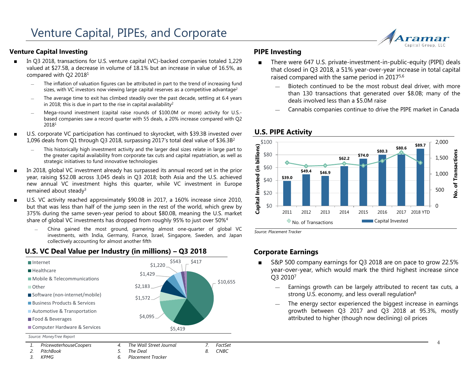#### **Venture Capital Investing**

- In Q3 2018, transactions for U.S. venture capital (VC)-backed companies totaled 1,229 valued at \$27.5B, a decrease in volume of 18.1% but an increase in value of 16.5%, as compared with Q2 2018<sup>1</sup>
	- The inflation of valuation figures can be attributed in part to the trend of increasing fund sizes, with VC investors now viewing large capital reserves as a competitive advantage<sup>2</sup>
	- The average time to exit has climbed steadily over the past decade, settling at 6.4 years in 2018; this is due in part to the rise in capital availability<sup>2</sup>
	- Mega-round investment (capital raise rounds of \$100.0M or more) activity for U.S.based companies saw a record quarter with 55 deals, a 20% increase compared with Q2 2018<sup>1</sup>
- U.S. corporate VC participation has continued to skyrocket, with \$39.3B invested over 1,096 deals from Q1 through Q3 2018, surpassing 2017's total deal value of \$36.3B<sup>2</sup>
	- This historically high investment activity and the larger deal sizes relate in large part to the greater capital availability from corporate tax cuts and capital repatriation, as well as strategic initiatives to fund innovative technologies
- In 2018, global VC investment already has surpassed its annual record set in the prior year, raising \$52.0B across 3,045 deals in Q3 2018; both Asia and the U.S. achieved new annual VC investment highs this quarter, while VC investment in Europe remained about steady<sup>3</sup>
- U.S. VC activity reached approximately \$90.0B in 2017, a 160% increase since 2010, but that was less than half of the jump seen in the rest of the world, which grew by 375% during the same seven-year period to about \$80.0B, meaning the U.S. market share of global VC investments has dropped from roughly 95% to just over 50%<sup>4</sup>
	- ― China gained the most ground, garnering almost one-quarter of global VC investments, with India, Germany, France, Israel, Singapore, Sweden, and Japan collectively accounting for almost another fifth



### **U.S. VC Deal Value per Industry (in millions) – Q3 2018**

#### **PIPE Investing**

- There were 647 U.S. private-investment-in-public-equity (PIPE) deals that closed in Q3 2018, a 51% year-over-year increase in total capital raised compared with the same period in 20175,6
	- Biotech continued to be the most robust deal driver, with more than 130 transactions that generated over \$8.0B; many of the deals involved less than a \$5.0M raise
	- Cannabis companies continue to drive the PIPE market in Canada



**U.S. PIPE Activity**

*Source: Placement Tracker*

#### **Corporate Earnings**

- S&P 500 company earnings for Q3 2018 are on pace to grow 22.5% year-over-year, which would mark the third highest increase since Q3 2010<sup>7</sup>
	- ― Earnings growth can be largely attributed to recent tax cuts, a strong U.S. economy, and less overall regulation<sup>8</sup>
	- The energy sector experienced the biggest increase in earnings growth between Q3 2017 and Q3 2018 at 95.3%, mostly attributed to higher (though now declining) oil prices

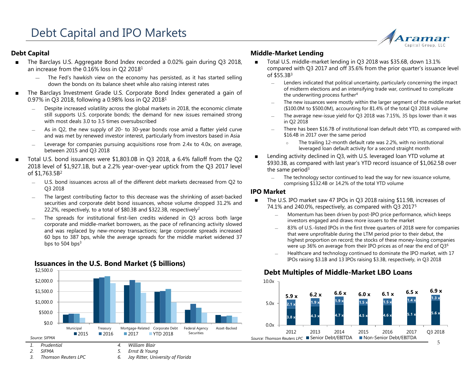#### **Debt Capital**

- The Barclays U.S. Aggregate Bond Index recorded a 0.02% gain during Q3 2018, an increase from the 0.16% loss in Q2 2018<sup>1</sup>
	- The Fed's hawkish view on the economy has persisted, as it has started selling down the bonds on its balance sheet while also raising interest rates
- The Barclays Investment Grade U.S. Corporate Bond Index generated a gain of 0.97% in Q3 2018, following a 0.98% loss in Q2 2018<sup>1</sup>
	- Despite increased volatility across the global markets in 2018, the economic climate still supports U.S. corporate bonds; the demand for new issues remained strong with most deals 3.0 to 3.5 times oversubscribed
	- As in Q2, the new supply of 20- to 30-year bonds rose amid a flatter yield curve and was met by renewed investor interest, particularly from investors based in Asia
	- Leverage for companies pursuing acquisitions rose from 2.4x to 4.0x, on average, between 2015 and Q3 2018
- Total U.S. bond issuances were \$1,803.0B in Q3 2018, a 6.4% falloff from the Q2 2018 level of \$1,927.1B, but a 2.2% year-over-year uptick from the Q3 2017 level of \$1,763.5B 2
	- ― U.S. bond issuances across all of the different debt markets decreased from Q2 to Q3 2018
	- The largest contributing factor to this decrease was the shrinking of asset-backed securities and corporate debt bond issuances, whose volume dropped 31.2% and 22.2%, respectively, to a total of \$80.3B and \$322.3B, respectively<sup>2</sup>
	- The spreads for institutional first-lien credits widened in Q3 across both large corporate and middle-market borrowers, as the pace of refinancing activity slowed and was replaced by new-money transactions; large corporate spreads increased 60 bps to 387 bps, while the average spreads for the middle market widened 37 bps to 504 bps<sup>3</sup>



#### **Issuances in the U.S. Bond Market (\$ billions)**

#### **Middle-Market Lending**

- Total U.S. middle-market lending in Q3 2018 was \$35.6B, down 13.1% compared with Q3 2017 and off 35.6% from the prior quarter's issuance level of  $$55.3B^3$ 
	- ― Lenders indicated that political uncertainty, particularly concerning the impact of midterm elections and an intensifying trade war, continued to complicate the underwriting process further<sup>4</sup>

ramar Capital Group, LL

- ― The new issuances were mostly within the larger segment of the middle market (\$100.0M to \$500.0M), accounting for 81.4% of the total Q3 2018 volume
- The average new-issue yield for Q3 2018 was 7.15%, 35 bps lower than it was in Q2 2018
- ― There has been \$16.7B of institutional loan default debt YTD, as compared with \$16.4B in 2017 over the same period
	- o The trailing 12-month default rate was 2.2%, with no institutional leveraged loan default activity for a second straight month
- Lending activity declined in Q3, with U.S. leveraged loan YTD volume at \$930.3B, as compared with last year's YTD record issuance of \$1,062.5B over the same period<sup>3</sup>
	- ― The technology sector continued to lead the way for new issuance volume, comprising \$132.4B or 14.2% of the total YTD volume

#### **IPO Market**

- The U.S. IPO market saw 47 IPOs in Q3 2018 raising \$11.9B, increases of 74.1% and 240.0%, respectively, as compared with Q3 2017<sup>5</sup>
	- Momentum has been driven by post-IPO price performance, which keeps investors engaged and draws more issuers to the market
	- 83% of U.S.-listed IPOs in the first three quarters of 2018 were for companies that were unprofitable during the LTM period prior to their debut, the highest proportion on record; the stocks of these money-losing companies were up 36% on average from their IPO prices as of near the end of Q3<sup>6</sup>
	- ― Healthcare and technology continued to dominate the IPO market, with 17 IPOs raising \$3.1B and 13 IPOs raising \$3.3B, respectively, in Q3 2018

### **Debt Multiples of Middle-Market LBO Loans**



*3. Thomson Reuters LPC*

*6. Jay Ritter, University of Florida*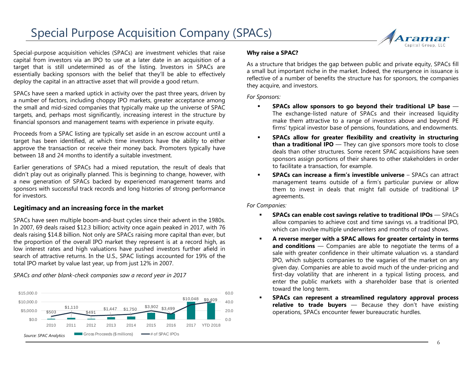# Special Purpose Acquisition Company (SPACs) Special Purpose Acquisition Company (SPACs)



Special-purpose acquisition vehicles (SPACs) are investment vehicles that raise capital from investors via an IPO to use at a later date in an acquisition of a target that is still undetermined as of the listing. Investors in SPACs are essentially backing sponsors with the belief that they'll be able to effectively deploy the capital in an attractive asset that will provide a good return.

SPACs have seen a marked uptick in activity over the past three years, driven by a number of factors, including choppy IPO markets, greater acceptance among the small and mid-sized companies that typically make up the universe of SPAC targets, and, perhaps most significantly, increasing interest in the structure by financial sponsors and management teams with experience in private equity.

Proceeds from a SPAC listing are typically set aside in an escrow account until a target has been identified, at which time investors have the ability to either approve the transaction or receive their money back. Promoters typically have between 18 and 24 months to identify a suitable investment.

Earlier generations of SPACs had a mixed reputation, the result of deals that didn't play out as originally planned. This is beginning to change, however, with a new generation of SPACs backed by experienced management teams and sponsors with successful track records and long histories of strong performance for investors.

#### **Legitimacy and an increasing force in the market**

SPACs have seen multiple boom-and-bust cycles since their advent in the 1980s. In 2007, 69 deals raised \$12.3 billion; activity once again peaked in 2017, with 76 deals raising \$14.8 billion. Not only are SPACs raising more capital than ever, but the proportion of the overall IPO market they represent is at a record high, as low interest rates and high valuations have pushed investors further afield in search of attractive returns. In the U.S., SPAC listings accounted for 19% of the total IPO market by value last year, up from just 12% in 2007.

*SPACs and other blank-check companies saw a record year in 2017*



#### **Why raise a SPAC?**

As a structure that bridges the gap between public and private equity, SPACs fill a small but important niche in the market. Indeed, the resurgence in issuance is reflective of a number of benefits the structure has for sponsors, the companies they acquire, and investors.

*For Sponsors:*

- **SPACs allow sponsors to go beyond their traditional LP base** The exchange-listed nature of SPACs and their increased liquidity make them attractive to a range of investors above and beyond PE firms' typical investor base of pensions, foundations, and endowments.
- **SPACs allow for greater flexibility and creativity in structuring than a traditional IPO** — They can give sponsors more tools to close deals than other structures. Some recent SPAC acquisitions have seen sponsors assign portions of their shares to other stakeholders in order to facilitate a transaction, for example.
- **SPACs can increase a firm's investible universe** SPACs can attract management teams outside of a firm's particular purview or allow them to invest in deals that might fall outside of traditional LP agreements.

*For Companies:*

- **SPACs can enable cost savings relative to traditional IPOs** SPACs allow companies to achieve cost and time savings vs. a traditional IPO, which can involve multiple underwriters and months of road shows.
- **A reverse merger with a SPAC allows for greater certainty in terms and conditions** — Companies are able to negotiate the terms of a sale with greater confidence in their ultimate valuation vs. a standard IPO, which subjects companies to the vagaries of the market on any given day. Companies are able to avoid much of the under-pricing and first-day volatility that are inherent in a typical listing process, and enter the public markets with a shareholder base that is oriented toward the long term.
- **SPACs can represent a streamlined regulatory approval process relative to trade buyers** — Because they don't have existing operations, SPACs encounter fewer bureaucratic hurdles.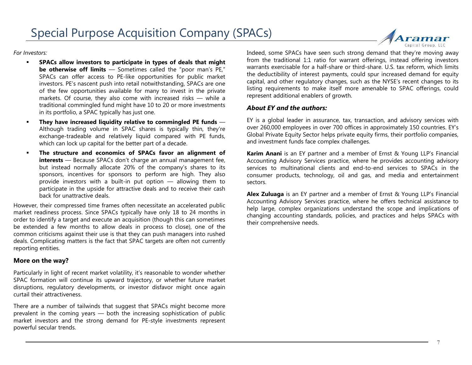Special Purpose Acquisition Company (SPACs)

*For Investors:*

- **SPACs allow investors to participate in types of deals that might be otherwise off limits** — Sometimes called the "poor man's PE," SPACs can offer access to PE-like opportunities for public market investors. PE's nascent push into retail notwithstanding, SPACs are one of the few opportunities available for many to invest in the private markets. Of course, they also come with increased risks — while a traditional commingled fund might have 10 to 20 or more investments in its portfolio, a SPAC typically has just one.
- **They have increased liquidity relative to commingled PE funds** Although trading volume in SPAC shares is typically thin, they're exchange-tradeable and relatively liquid compared with PE funds, which can lock up capital for the better part of a decade.
- **The structure and economics of SPACs favor an alignment of interests** — Because SPACs don't charge an annual management fee, but instead normally allocate 20% of the company's shares to its sponsors, incentives for sponsors to perform are high. They also provide investors with a built-in put option — allowing them to participate in the upside for attractive deals and to receive their cash back for unattractive deals.

However, their compressed time frames often necessitate an accelerated public market readiness process. Since SPACs typically have only 18 to 24 months in order to identify a target and execute an acquisition (though this can sometimes be extended a few months to allow deals in process to close), one of the common criticisms against their use is that they can push managers into rushed deals. Complicating matters is the fact that SPAC targets are often not currently reporting entities.

#### **More on the way?**

Particularly in light of recent market volatility, it's reasonable to wonder whether SPAC formation will continue its upward trajectory, or whether future market disruptions, regulatory developments, or investor disfavor might once again curtail their attractiveness.

There are a number of tailwinds that suggest that SPACs might become more prevalent in the coming years — both the increasing sophistication of public market investors and the strong demand for PE-style investments represent powerful secular trends.

Indeed, some SPACs have seen such strong demand that they're moving away from the traditional 1:1 ratio for warrant offerings, instead offering investors warrants exercisable for a half-share or third-share. U.S. tax reform, which limits the deductibility of interest payments, could spur increased demand for equity capital, and other regulatory changes, such as the NYSE's recent changes to its listing requirements to make itself more amenable to SPAC offerings, could represent additional enablers of growth.

#### *About EY and the authors:*

EY is a global leader in assurance, tax, transaction, and advisory services with over 260,000 employees in over 700 offices in approximately 150 countries. EY's Global Private Equity Sector helps private equity firms, their portfolio companies, and investment funds face complex challenges.

**Karim Anani** is an EY partner and a member of Ernst & Young LLP's Financial Accounting Advisory Services practice, where he provides accounting advisory services to multinational clients and end-to-end services to SPACs in the consumer products, technology, oil and gas, and media and entertainment sectors.

**Alex Zuluaga** is an EY partner and a member of Ernst & Young LLP's Financial Accounting Advisory Services practice, where he offers technical assistance to help large, complex organizations understand the scope and implications of changing accounting standards, policies, and practices and helps SPACs with their comprehensive needs.